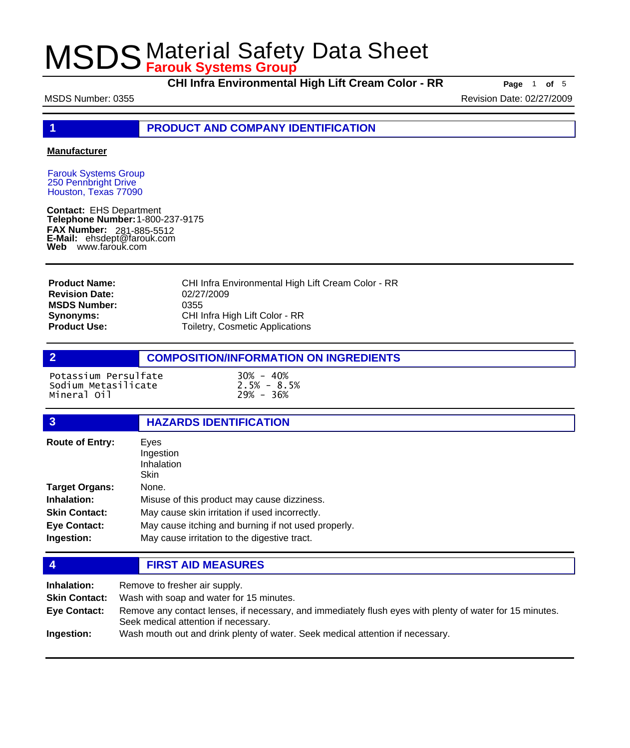**CHI Infra Environmental High Lift Cream Color - RR Page** <sup>1</sup> **of** <sup>5</sup>

MSDS Number: 0355 Revision Date: 02/27/2009

**1 PRODUCT AND COMPANY IDENTIFICATION**

#### **Manufacturer**

Farouk Systems Group 250 Pennbright Drive Houston, Texas 77090

**Contact:** EHS Department **Telephone Number:** 1-800-237-9175 **FAX Number: FAX Number:** 281-885-5512<br>**E-Mail:** ehsdept@farouk.com **Web** www.farouk.com

CHI Infra Environmental High Lift Cream Color - RR 02/27/2009 0355 CHI Infra High Lift Color - RR Toiletry, Cosmetic Applications **Product Name: Revision Date: MSDS Number: Synonyms: Product Use:**

### **2 COMPOSITION/INFORMATION ON INGREDIENTS**

Potassium Persulfate 30% - 40% Sodium Metasilicate 2.5% - 8.5% Mineral Oil

### **3 HAZARDS IDENTIFICATION**

| Eyes<br>Ingestion<br>Inhalation<br>Skin             |
|-----------------------------------------------------|
| None.                                               |
| Misuse of this product may cause dizziness.         |
| May cause skin irritation if used incorrectly.      |
| May cause itching and burning if not used properly. |
| May cause irritation to the digestive tract.        |
|                                                     |

### **4 FIRST AID MEASURES**

| Inhalation:          | Remove to fresher air supply.                                                                                                                    |
|----------------------|--------------------------------------------------------------------------------------------------------------------------------------------------|
| <b>Skin Contact:</b> | Wash with soap and water for 15 minutes.                                                                                                         |
| Eye Contact:         | Remove any contact lenses, if necessary, and immediately flush eyes with plenty of water for 15 minutes.<br>Seek medical attention if necessary. |
| Ingestion:           | Wash mouth out and drink plenty of water. Seek medical attention if necessary.                                                                   |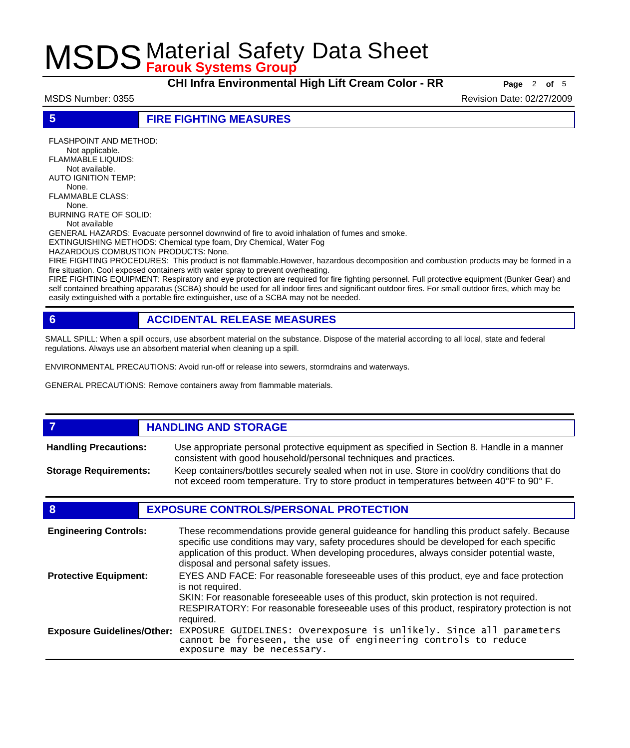**CHI Infra Environmental High Lift Cream Color - RR Page** <sup>2</sup> **of** <sup>5</sup>

MSDS Number: 0355 Revision Date: 02/27/2009

**5 FIRE FIGHTING MEASURES**

FLASHPOINT AND METHOD: Not applicable. FLAMMABLE LIQUIDS: Not available. AUTO IGNITION TEMP: None. FLAMMABLE CLASS: None. BURNING RATE OF SOLID: Not available

GENERAL HAZARDS: Evacuate personnel downwind of fire to avoid inhalation of fumes and smoke.

EXTINGUISHING METHODS: Chemical type foam, Dry Chemical, Water Fog

HAZARDOUS COMBUSTION PRODUCTS: None.

FIRE FIGHTING PROCEDURES: This product is not flammable.However, hazardous decomposition and combustion products may be formed in a fire situation. Cool exposed containers with water spray to prevent overheating.

FIRE FIGHTING EQUIPMENT: Respiratory and eye protection are required for fire fighting personnel. Full protective equipment (Bunker Gear) and self contained breathing apparatus (SCBA) should be used for all indoor fires and significant outdoor fires. For small outdoor fires, which may be easily extinguished with a portable fire extinguisher, use of a SCBA may not be needed.

### **6 ACCIDENTAL RELEASE MEASURES**

SMALL SPILL: When a spill occurs, use absorbent material on the substance. Dispose of the material according to all local, state and federal regulations. Always use an absorbent material when cleaning up a spill.

ENVIRONMENTAL PRECAUTIONS: Avoid run-off or release into sewers, stormdrains and waterways.

GENERAL PRECAUTIONS: Remove containers away from flammable materials.

#### *HANDLING AND STORAGE* Use appropriate personal protective equipment as specified in Section 8. Handle in a manner consistent with good household/personal techniques and practices. **Handling Precautions:** Keep containers/bottles securely sealed when not in use. Store in cool/dry conditions that do not exceed room temperature. Try to store product in temperatures between 40°F to 90° F. **Storage Requirements:**

### **8 EXPOSURE CONTROLS/PERSONAL PROTECTION**

| <b>Engineering Controls:</b>      | These recommendations provide general guideance for handling this product safely. Because<br>specific use conditions may vary, safety procedures should be developed for each specific<br>application of this product. When developing procedures, always consider potential waste,<br>disposal and personal safety issues. |
|-----------------------------------|-----------------------------------------------------------------------------------------------------------------------------------------------------------------------------------------------------------------------------------------------------------------------------------------------------------------------------|
| <b>Protective Equipment:</b>      | EYES AND FACE: For reasonable foreseeable uses of this product, eye and face protection<br>is not required.<br>SKIN: For reasonable foreseeable uses of this product, skin protection is not required.<br>RESPIRATORY: For reasonable foreseeable uses of this product, respiratory protection is not<br>required.          |
| <b>Exposure Guidelines/Other:</b> | EXPOSURE GUIDELINES: Overexposure is unlikely. Since all parameters cannot be foreseen, the use of engineering controls to reduce<br>exposure may be necessary.                                                                                                                                                             |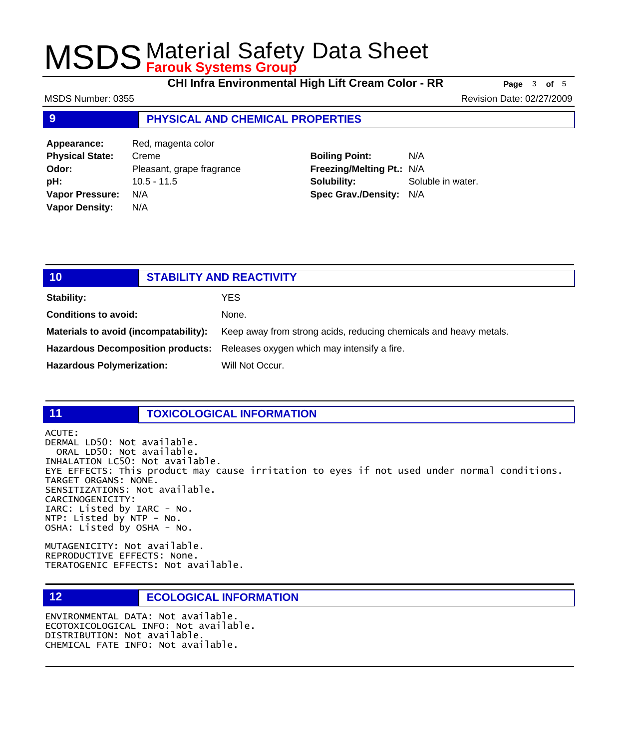**CHI Infra Environmental High Lift Cream Color - RR Page** <sup>3</sup> **of** <sup>5</sup>

MSDS Number: 0355 Revision Date: 02/27/2009

### **9 PHYSICAL AND CHEMICAL PROPERTIES**

Appearance: Red, magenta color **Physical State:** Creme **Odor:** Pleasant, grape fragrance **pH:** 10.5 - 11.5 **Vapor Pressure:** N/A **Vapor Density:** N/A

### **Boiling Point:** N/A **Freezing/Melting Pt.:** N/A

**Solubility:** Soluble in water. **Spec Grav./Density:** N/A

| <b>STABILITY AND REACTIVITY</b>                                                                            |  |
|------------------------------------------------------------------------------------------------------------|--|
| Stability:<br>YES.                                                                                         |  |
| <b>Conditions to avoid:</b><br>None.                                                                       |  |
| Materials to avoid (incompatability):<br>Keep away from strong acids, reducing chemicals and heavy metals. |  |
| Hazardous Decomposition products: Releases oxygen which may intensify a fire.                              |  |
| <b>Hazardous Polymerization:</b><br>Will Not Occur.                                                        |  |

### **11 TOXICOLOGICAL INFORMATION**

ACUTE:

DERMAL LD50: Not available. ORAL LD50: Not available. INHALATION LC50: Not available. EYE EFFECTS: This product may cause irritation to eyes if not used under normal conditions. TARGET ORGANS: NONE. SENSITIZATIONS: Not available. CARCINOGENICITY: IARC: Listed by IARC - No. NTP: Listed by NTP - No. OSHA: Listed by OSHA - No.

MUTAGENICITY: Not available. REPRODUCTIVE EFFECTS: None. TERATOGENIC EFFECTS: Not available.

### **12 ECOLOGICAL INFORMATION**

ENVIRONMENTAL DATA: Not available. ECOTOXICOLOGICAL INFO: Not available. DISTRIBUTION: Not available. CHEMICAL FATE INFO: Not available.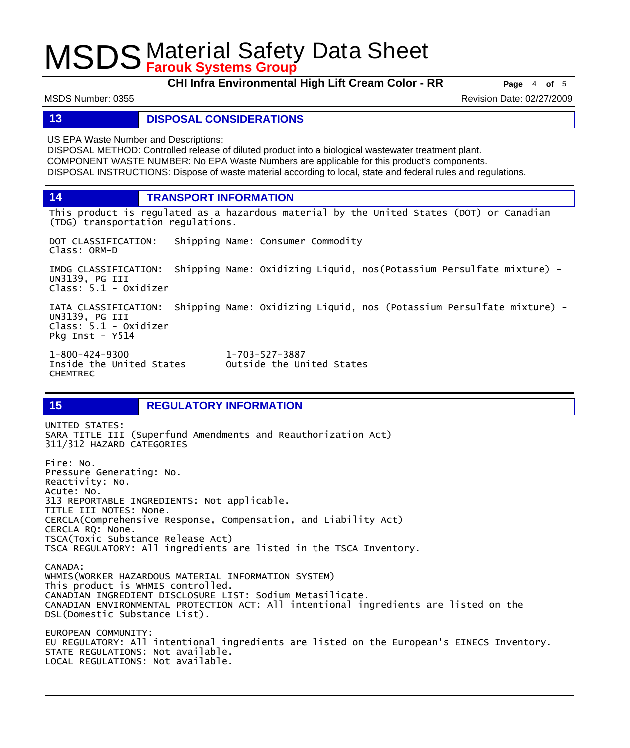**CHI Infra Environmental High Lift Cream Color - RR Page** <sup>4</sup> **of** <sup>5</sup>

MSDS Number: 0355 Revision Date: 02/27/2009

### **13 DISPOSAL CONSIDERATIONS**

US EPA Waste Number and Descriptions:

DISPOSAL METHOD: Controlled release of diluted product into a biological wastewater treatment plant. COMPONENT WASTE NUMBER: No EPA Waste Numbers are applicable for this product's components. DISPOSAL INSTRUCTIONS: Dispose of waste material according to local, state and federal rules and regulations.

**14 TRANSPORT INFORMATION**

This product is regulated as a hazardous material by the United States (DOT) or Canadian (TDG) transportation regulations.

DOT CLASSIFICATION: Shipping Name: Consumer Commodity Class: ORM-D IMDG CLASSIFICATION: Shipping Name: Oxidizing Liquid, nos(Potassium Persulfate mixture) -

UN3139, PG III Class: 5.1 - Oxidizer

IATA CLASSIFICATION: Shipping Name: Oxidizing Liquid, nos (Potassium Persulfate mixture) - UN3139, PG III Class: 5.1 - Oxidizer Pkg Inst - Y514

1-800-424-9300 1-703-527-3887 CHEMTREC

Outside the United States

### **15 REGULATORY INFORMATION**

UNITED STATES: SARA TITLE III (Superfund Amendments and Reauthorization Act) 311/312 HAZARD CATEGORIES Fire: No. Pressure Generating: No. Reactivity: No. Acute: No. 313 REPORTABLE INGREDIENTS: Not applicable. TITLE III NOTES: None. CERCLA(Comprehensive Response, Compensation, and Liability Act) CERCLA RQ: None. TSCA(Toxic Substance Release Act) TSCA REGULATORY: All ingredients are listed in the TSCA Inventory. CANADA: WHMIS(WORKER HAZARDOUS MATERIAL INFORMATION SYSTEM) This product is WHMIS controlled. CANADIAN INGREDIENT DISCLOSURE LIST: Sodium Metasilicate. CANADIAN ENVIRONMENTAL PROTECTION ACT: All intentional ingredients are listed on the DSL(Domestic Substance List). EUROPEAN COMMUNITY: EU REGULATORY: All intentional ingredients are listed on the European's EINECS Inventory. STATE REGULATIONS: Not available. LOCAL REGULATIONS: Not available.